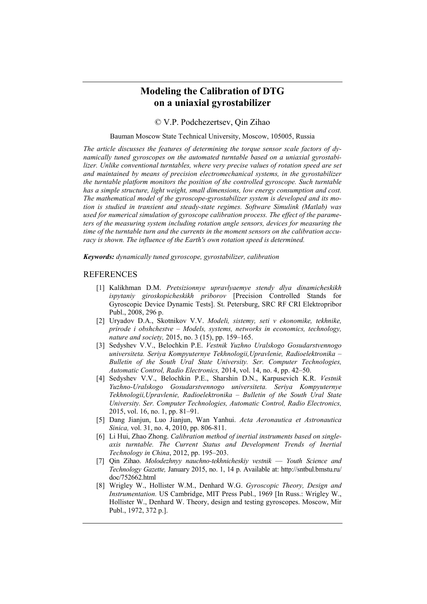## **Modeling the Calibration of DTG on a uniaxial gyrostabilizer**

© V.P. Podchezertsev, Qin Zihao

Bauman Moscow State Technical University, Moscow, 105005, Russia

*The article discusses the features of determining the torque sensor scale factors of dynamically tuned gyroscopes on the automated turntable based on a uniaxial gyrostabilizer. Unlike conventional turntables, where very precise values of rotation speed are set and maintained by means of precision electromechanical systems, in the gyrostabilizer the turntable platform monitors the position of the controlled gyroscope. Such turntable has a simple structure, light weight, small dimensions, low energy consumption and cost. The mathematical model of the gyroscope-gyrostabilizer system is developed and its motion is studied in transient and steady-state regimes. Software Simulink (Matlab) was used for numerical simulation of gyroscope calibration process. The effect of the parameters of the measuring system including rotation angle sensors, devices for measuring the time of the turntable turn and the currents in the moment sensors on the calibration accuracy is shown. The influence of the Earth's own rotation speed is determined.* 

*Keywords: dynamically tuned gyroscope, gyrostabilizer, calibration*

## REFERENCES

- [1] Kalikhman D.M. *Pretsizionnye upravlyaemye stendy dlya dinamicheskikh ispytaniy giroskopicheskikh priborov* [Precision Controlled Stands for Gyroscopic Device Dynamic Tests]. St. Petersburg, SRC RF CRI Elektropribor Publ., 2008, 296 p.
- [2] Uryadov D.A., Skotnikov V.V. *Modeli, sistemy, seti v ekonomike, tekhnike, prirode i obshchestve – Models, systems, networks in economics, technology, nature and society,* 2015, no. 3 (15), pp. 159–165.
- [3] Sedyshev V.V., Belochkin P.E. *Vestnik Yuzhno Uralskogo Gosudarstvennogo universiteta. Seriya Kompyuternye Tekhnologii,Upravlenie, Radioelektronika – Bulletin of the South Ural State University. Ser. Computer Technologies, Automatic Control, Radio Electronics,* 2014, vol. 14, no. 4, pp. 42–50.
- [4] Sedyshev V.V., Belochkin P.E., Sharshin D.N., Karpusevich K.R. *Vestnik Yuzhno-Uralskogo Gosudarstvennogo universiteta. Seriya Kompyuternye Tekhnologii,Upravlenie, Radioelektronika – Bulletin of the South Ural State University. Ser. Computer Technologies, Automatic Control, Radio Electronics,* 2015, vol. 16, no. 1, pp. 81–91.
- [5] Dang Jianjun, Luo Jianjun, Wan Yanhui. *Acta Aeronautica et Astronautica Sinica,* vol. 31, no. 4, 2010, pp. 806-811.
- [6] Li Hui, Zhao Zhong. *Calibration method of inertial instruments based on singleaxis turntable. The Current Status and Development Trends of Inertial Technology in China*, 2012, pp. 195–203.
- [7] Qin Zihao. *Molodezhnyy nauchno-tekhnicheskiy vestnik Youth Science and Technology Gazette,* January 2015, no. 1, 14 p. Available at: http://sntbul.bmstu.ru/ doc/752662.html
- [8] Wrigley W., Hollister W.M., Denhard W.G. *Gyroscopic Theory, Design and Instrumentation.* US Cambridge, MIT Press Publ., 1969 [In Russ.: Wrigley W., Hollister W., Denhard W. Theory, design and testing gyroscopes. Moscow, Mir Publ., 1972, 372 p.].